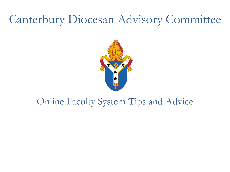# Canterbury Diocesan Advisory Committee



#### Online Faculty System Tips and Advice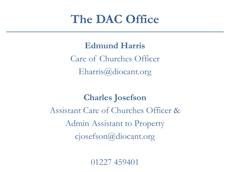## **The DAC Office**

**Edmund Harris**  Care of Churches Officer Eharris@diocant.org

**Charles Josefson** Assistant Care of Churches Officer & Admin Assistant to Property cjosefson@diocant.org

01227 459401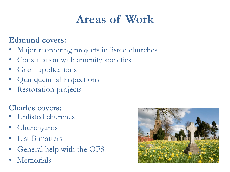# **Areas of Work**

#### **Edmund covers:**

- Major reordering projects in listed churches
- Consultation with amenity societies
- Grant applications
- Quinquennial inspections
- **Restoration projects**

#### **Charles covers:**

- Unlisted churches
- **Churchyards**
- List B matters
- General help with the OFS
- **Memorials**

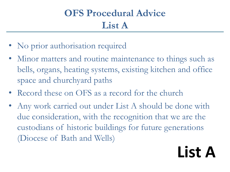#### **OFS Procedural Advice List A**

- No prior authorisation required
- Minor matters and routine maintenance to things such as bells, organs, heating systems, existing kitchen and office space and churchyard paths
- Record these on OFS as a record for the church
- Any work carried out under List A should be done with due consideration, with the recognition that we are the custodians of historic buildings for future generations (Diocese of Bath and Wells)

# **List A**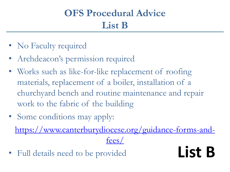#### **OFS Procedural Advice List B**

- No Faculty required
- Archdeacon's permission required
- Works such as like-for-like replacement of roofing materials, replacement of a boiler, installation of a churchyard bench and routine maintenance and repair work to the fabric of the building
- Some conditions may apply:

[https://www.canterburydiocese.org/guidance-forms-and](https://www.canterburydiocese.org/guidance-forms-and-fees/)[fees/](https://www.canterburydiocese.org/guidance-forms-and-fees/)

• Full details need to be provided **List B**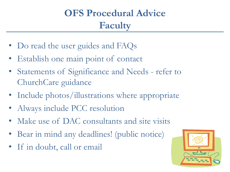## **OFS Procedural Advice Faculty**

- Do read the user guides and FAQs
- Establish one main point of contact
- Statements of Significance and Needs refer to ChurchCare guidance
- Include photos/illustrations where appropriate
- Always include PCC resolution
- Make use of DAC consultants and site visits
- Bear in mind any deadlines! (public notice)
- If in doubt, call or email

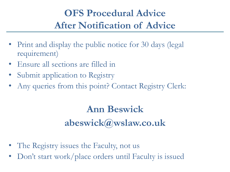#### **OFS Procedural Advice After Notification of Advice**

- Print and display the public notice for 30 days (legal requirement)
- Ensure all sections are filled in
- Submit application to Registry
- Any queries from this point? Contact Registry Clerk:

## **Ann Beswick abeswick@wslaw.co.uk**

- The Registry issues the Faculty, not us
- Don't start work/place orders until Faculty is issued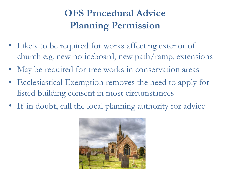#### **OFS Procedural Advice Planning Permission**

- Likely to be required for works affecting exterior of church e.g. new noticeboard, new path/ramp, extensions
- May be required for tree works in conservation areas
- Ecclesiastical Exemption removes the need to apply for listed building consent in most circumstances
- If in doubt, call the local planning authority for advice

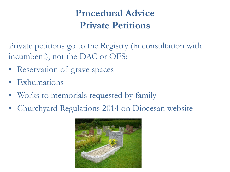#### **Procedural Advice Private Petitions**

Private petitions go to the Registry (in consultation with incumbent), not the DAC or OFS:

- Reservation of grave spaces
- Exhumations
- Works to memorials requested by family
- Churchyard Regulations 2014 on Diocesan website

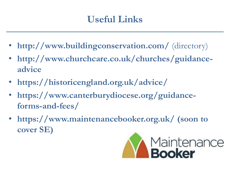#### **Useful Links**

- http://www.buildingconservation.com/ (directory)
- **http://www.churchcare.co.uk/churches/guidanceadvice**
- **https://historicengland.org.uk/advice/**
- https://www.canterburydiocese.org/guidance**forms-and-fees/**
- **https://www.maintenancebooker.org.uk/ (soon to cover SE)**